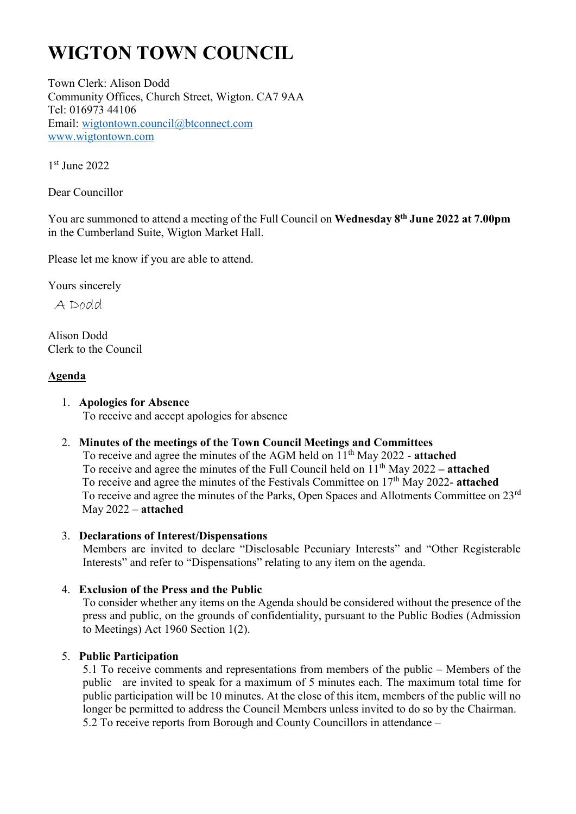# **WIGTON TOWN COUNCIL**

Town Clerk: Alison Dodd Community Offices, Church Street, Wigton. CA7 9AA Tel: 016973 44106 Email: wigtontown.council@btconnect.com www.wigtontown.com

1 st June 2022

Dear Councillor

You are summoned to attend a meeting of the Full Council on **Wednesday 8 th June 2022 at 7.00pm** in the Cumberland Suite, Wigton Market Hall.

Please let me know if you are able to attend.

Yours sincerely

A Dodd

Alison Dodd Clerk to the Council

# **Agenda**

# 1. **Apologies for Absence**

To receive and accept apologies for absence

# 2. **Minutes of the meetings of the Town Council Meetings and Committees**

To receive and agree the minutes of the AGM held on 11th May 2022 - **attached** To receive and agree the minutes of the Full Council held on 11 th May 2022 **– attached** To receive and agree the minutes of the Festivals Committee on 17<sup>th</sup> May 2022- attached To receive and agree the minutes of the Parks, Open Spaces and Allotments Committee on 23rd May 2022 – **attached**

# 3. **Declarations of Interest/Dispensations**

Members are invited to declare "Disclosable Pecuniary Interests" and "Other Registerable Interests" and refer to "Dispensations" relating to any item on the agenda.

# 4. **Exclusion of the Press and the Public**

To consider whether any items on the Agenda should be considered without the presence of the press and public, on the grounds of confidentiality, pursuant to the Public Bodies (Admission to Meetings) Act 1960 Section 1(2).

# 5. **Public Participation**

5.1 To receive comments and representations from members of the public – Members of the public are invited to speak for a maximum of 5 minutes each. The maximum total time for public participation will be 10 minutes. At the close of this item, members of the public will no longer be permitted to address the Council Members unless invited to do so by the Chairman. 5.2 To receive reports from Borough and County Councillors in attendance –